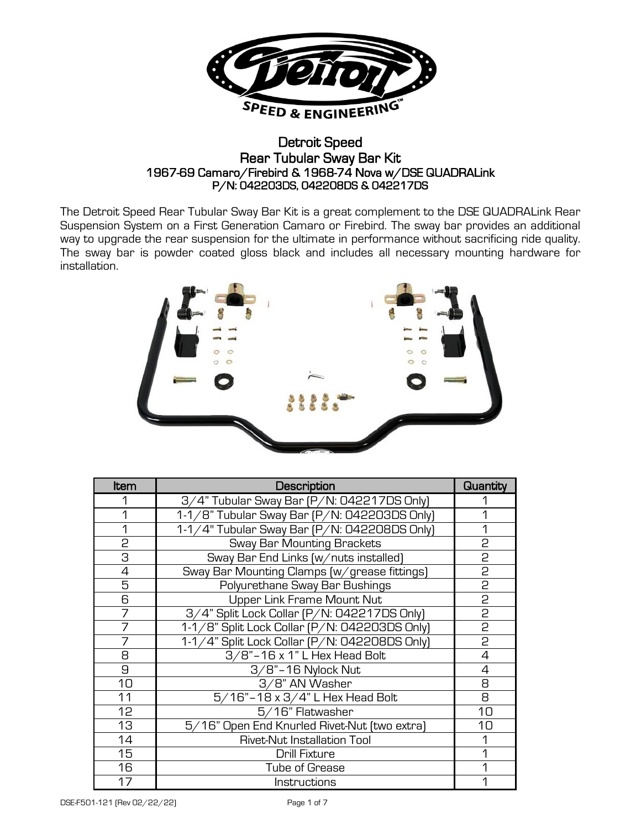

## Detroit Speed Rear Tubular Sway Bar Kit 1967-69 Camaro/Firebird & 1968-74 Nova w/DSE QUADRALink P/N: 042203DS, 042208DS & 042217DS

The Detroit Speed Rear Tubular Sway Bar Kit is a great complement to the DSE QUADRALink Rear Suspension System on a First Generation Camaro or Firebird. The sway bar provides an additional way to upgrade the rear suspension for the ultimate in performance without sacrificing ride quality. The sway bar is powder coated gloss black and includes all necessary mounting hardware for installation.



| ltem | Description                                   | Quantity       |
|------|-----------------------------------------------|----------------|
|      | 3/4" Tubular Sway Bar (P/N: 042217DS Only)    |                |
| 1    | 1-1/8" Tubular Sway Bar [P/N: 042203DS Only]  |                |
| 1    | 1-1/4" Tubular Sway Bar [P/N: 042208DS Only]  |                |
| 2    | <b>Sway Bar Mounting Brackets</b>             | 2              |
| 3    | Sway Bar End Links (w/nuts installed)         | 2              |
| 4    | Sway Bar Mounting Clamps (w/grease fittings)  | 2              |
| 5    | Polyurethane Sway Bar Bushings                | 2              |
| 6    | Upper Link Frame Mount Nut                    | 2              |
| 7    | 3/4" Split Lock Collar (P/N: 042217DS Only)   | p              |
| 7    | 1-1/8" Split Lock Collar (P/N: 042203DS Only) | $\overline{c}$ |
| 7    | 1-1/4" Split Lock Collar (P/N: 042208DS Only) | $\overline{2}$ |
| 8    | 3/8"-16 x 1" L Hex Head Bolt                  | 4              |
| 9    | $3/8$ "-16 Nylock Nut                         | 4              |
| 10   | 3/8" AN Washer                                | 8              |
| 11   | 5/16"-18 x 3/4" L Hex Head Bolt               | 8              |
| 12   | 5/16" Flatwasher                              | 10             |
| 13   | 5/16" Open End Knurled Rivet-Nut [two extra]  | 10             |
| 14   | <b>Rivet-Nut Installation Tool</b>            |                |
| 15   | Drill Fixture                                 |                |
| 16   | <b>Tube of Grease</b>                         |                |
| 17   | Instructions                                  |                |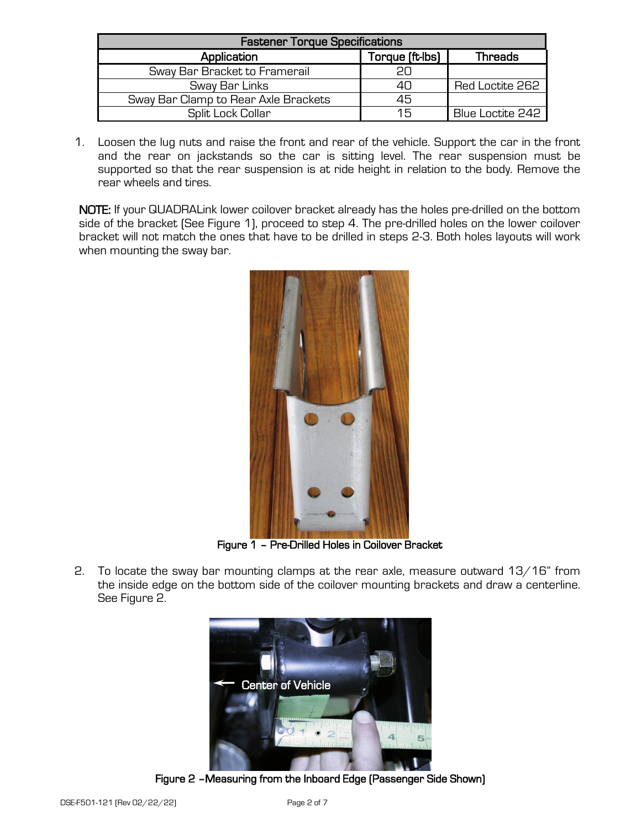| <b>Fastener Torque Specifications</b> |                 |                  |  |  |  |  |
|---------------------------------------|-----------------|------------------|--|--|--|--|
| Application                           | Torque (ft-lbs) | Threads          |  |  |  |  |
| Sway Bar Bracket to Framerail         |                 |                  |  |  |  |  |
| Sway Bar Links                        |                 | Red Loctite 262  |  |  |  |  |
| Sway Bar Clamp to Rear Axle Brackets  | 45              |                  |  |  |  |  |
| Split Lock Collar                     | 15              | Blue Loctite 242 |  |  |  |  |

1. Loosen the lug nuts and raise the front and rear of the vehicle. Support the car in the front and the rear on jackstands so the car is sitting level. The rear suspension must be supported so that the rear suspension is at ride height in relation to the body. Remove the rear wheels and tires.

NOTE: If your QUADRALink lower coilover bracket already has the holes pre-drilled on the bottom side of the bracket (See Figure 1), proceed to step 4. The pre-drilled holes on the lower coilover bracket will not match the ones that have to be drilled in steps 2-3. Both holes layouts will work when mounting the sway bar.



Figure 1 – Pre-Drilled Holes in Coilover Bracket

2. To locate the sway bar mounting clamps at the rear axle, measure outward 13/16" from the inside edge on the bottom side of the coilover mounting brackets and draw a centerline. See Figure 2.



Figure 2 –Measuring from the Inboard Edge (Passenger Side Shown)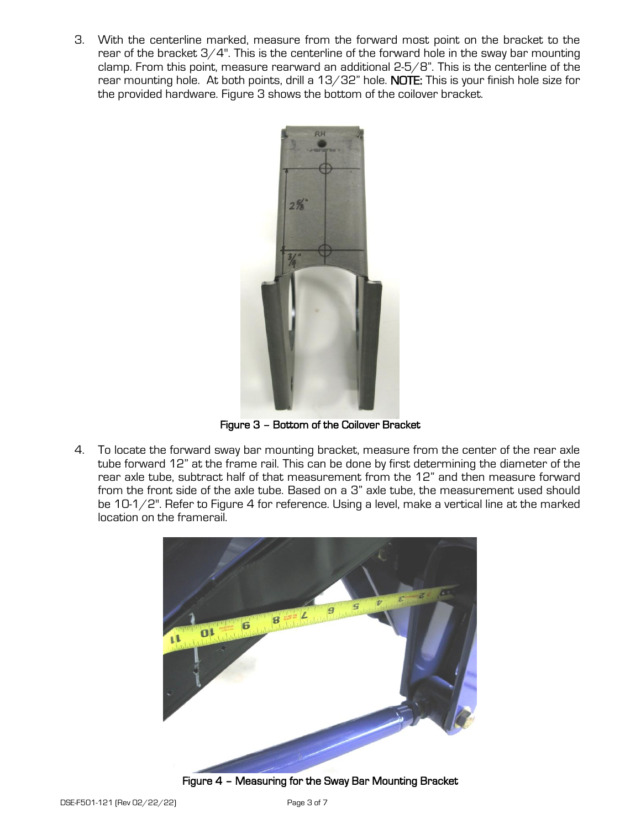3. With the centerline marked, measure from the forward most point on the bracket to the rear of the bracket  $3/4$ ". This is the centerline of the forward hole in the sway bar mounting clamp. From this point, measure rearward an additional 2-5/8". This is the centerline of the rear mounting hole. At both points, drill a 13/32" hole. NOTE: This is your finish hole size for the provided hardware. Figure 3 shows the bottom of the coilover bracket.



Figure 3 – Bottom of the Coilover Bracket

4. To locate the forward sway bar mounting bracket, measure from the center of the rear axle tube forward 12" at the frame rail. This can be done by first determining the diameter of the rear axle tube, subtract half of that measurement from the 12" and then measure forward from the front side of the axle tube. Based on a 3" axle tube, the measurement used should be 10-1/2". Refer to Figure 4 for reference. Using a level, make a vertical line at the marked location on the framerail.



Figure 4 – Measuring for the Sway Bar Mounting Bracket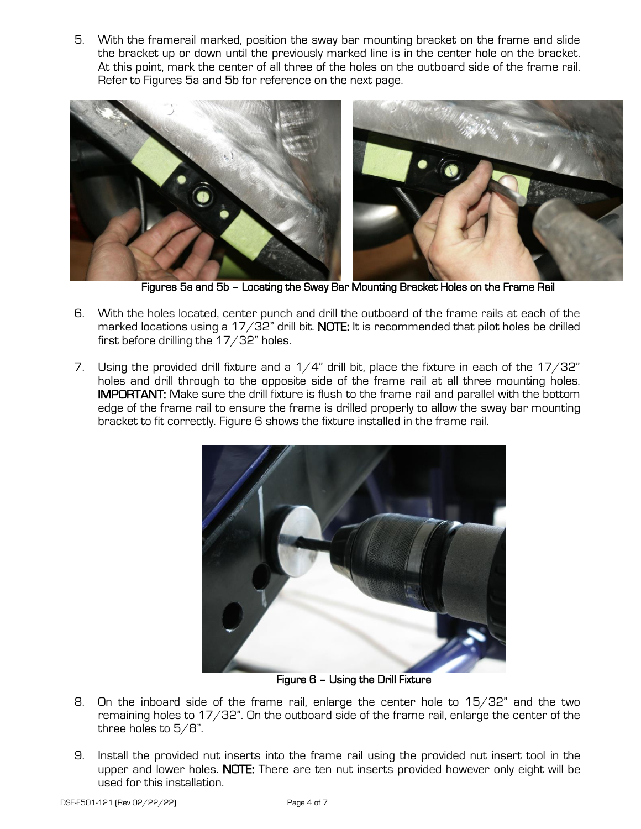5. With the framerail marked, position the sway bar mounting bracket on the frame and slide the bracket up or down until the previously marked line is in the center hole on the bracket. At this point, mark the center of all three of the holes on the outboard side of the frame rail. Refer to Figures 5a and 5b for reference on the next page.



Figures 5a and 5b – Locating the Sway Bar Mounting Bracket Holes on the Frame Rail

- 6. With the holes located, center punch and drill the outboard of the frame rails at each of the marked locations using a  $17/32$ " drill bit. NOTE: It is recommended that pilot holes be drilled first before drilling the 17/32" holes.
- 7. Using the provided drill fixture and a  $1/4$ " drill bit, place the fixture in each of the  $17/32$ " holes and drill through to the opposite side of the frame rail at all three mounting holes. IMPORTANT: Make sure the drill fixture is flush to the frame rail and parallel with the bottom edge of the frame rail to ensure the frame is drilled properly to allow the sway bar mounting bracket to fit correctly. Figure 6 shows the fixture installed in the frame rail.



Figure 6 – Using the Drill Fixture

- 8. On the inboard side of the frame rail, enlarge the center hole to 15/32" and the two remaining holes to 17/32". On the outboard side of the frame rail, enlarge the center of the three holes to 5/8".
- 9. Install the provided nut inserts into the frame rail using the provided nut insert tool in the upper and lower holes. NOTE: There are ten nut inserts provided however only eight will be used for this installation.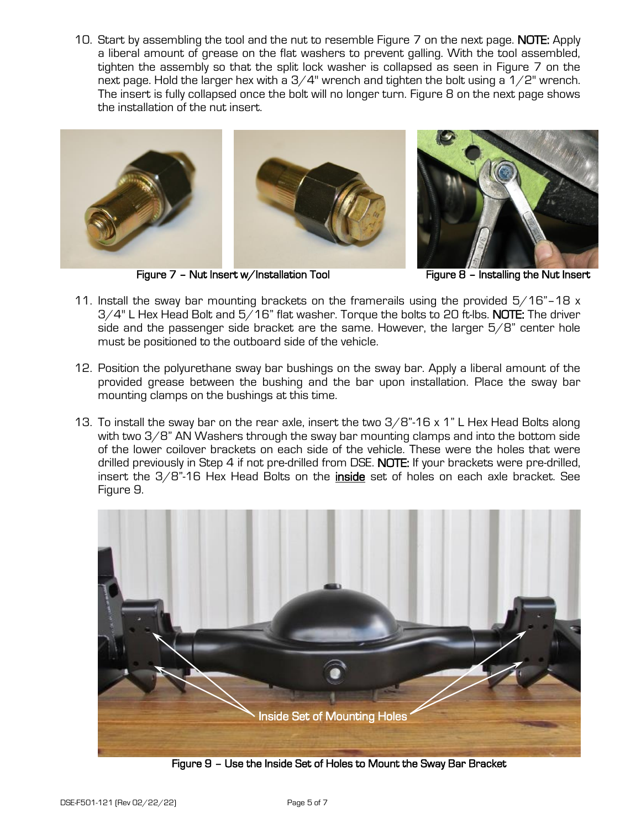10. Start by assembling the tool and the nut to resemble Figure 7 on the next page. **NOTE:** Apply a liberal amount of grease on the flat washers to prevent galling. With the tool assembled, tighten the assembly so that the split lock washer is collapsed as seen in Figure 7 on the next page. Hold the larger hex with a  $3/4$ " wrench and tighten the bolt using a  $1/2$ " wrench. The insert is fully collapsed once the bolt will no longer turn. Figure 8 on the next page shows the installation of the nut insert.



Figure 7 – Nut Insert w/Installation Tool Figure 8 – Installing the Nut Insert

- 11. Install the sway bar mounting brackets on the framerails using the provided  $5/16"$ -18 x 3/4" L Hex Head Bolt and 5/16" flat washer. Torque the bolts to 20 ft-lbs. NOTE: The driver side and the passenger side bracket are the same. However, the larger 5/8" center hole must be positioned to the outboard side of the vehicle.
- 12. Position the polyurethane sway bar bushings on the sway bar. Apply a liberal amount of the provided grease between the bushing and the bar upon installation. Place the sway bar mounting clamps on the bushings at this time.
- 13. To install the sway bar on the rear axle, insert the two 3/8"-16 x 1" L Hex Head Bolts along with two 3/8" AN Washers through the sway bar mounting clamps and into the bottom side of the lower coilover brackets on each side of the vehicle. These were the holes that were drilled previously in Step 4 if not pre-drilled from DSE. NOTE: If your brackets were pre-drilled, insert the  $3/8$ "-16 Hex Head Bolts on the *inside* set of holes on each axle bracket. See Figure 9.



Figure 9 – Use the Inside Set of Holes to Mount the Sway Bar Bracket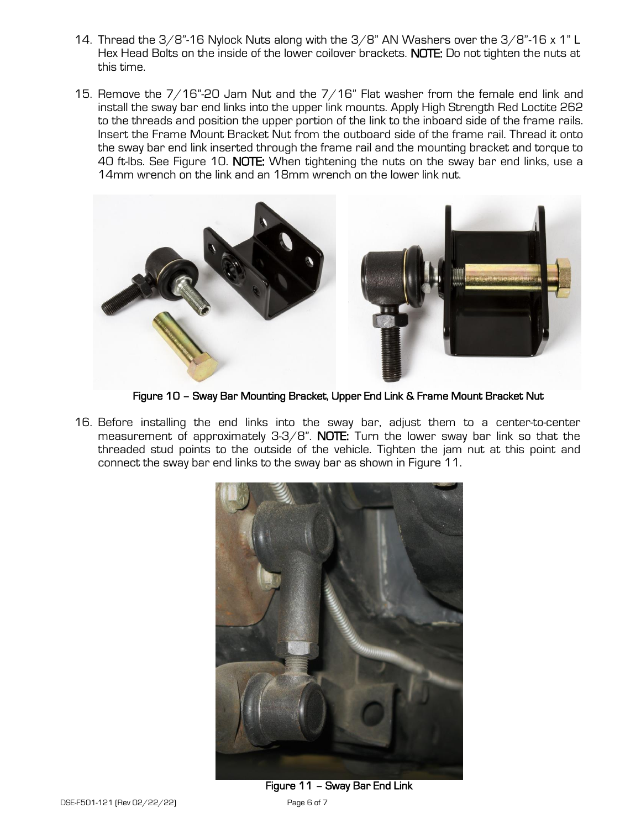- 14. Thread the 3/8"-16 Nylock Nuts along with the 3/8" AN Washers over the 3/8"-16 x 1" L Hex Head Bolts on the inside of the lower coilover brackets. NOTE: Do not tighten the nuts at this time.
- 15. Remove the 7/16"-20 Jam Nut and the 7/16" Flat washer from the female end link and install the sway bar end links into the upper link mounts. Apply High Strength Red Loctite 262 to the threads and position the upper portion of the link to the inboard side of the frame rails. Insert the Frame Mount Bracket Nut from the outboard side of the frame rail. Thread it onto the sway bar end link inserted through the frame rail and the mounting bracket and torque to 40 ft-lbs. See Figure 10. NOTE: When tightening the nuts on the sway bar end links, use a 14mm wrench on the link and an 18mm wrench on the lower link nut.



Figure 10 – Sway Bar Mounting Bracket, Upper End Link & Frame Mount Bracket Nut

16. Before installing the end links into the sway bar, adjust them to a center-to-center measurement of approximately  $3-3/8$ ". NOTE: Turn the lower sway bar link so that the threaded stud points to the outside of the vehicle. Tighten the jam nut at this point and connect the sway bar end links to the sway bar as shown in Figure 11.



Figure 11 – Sway Bar End Link